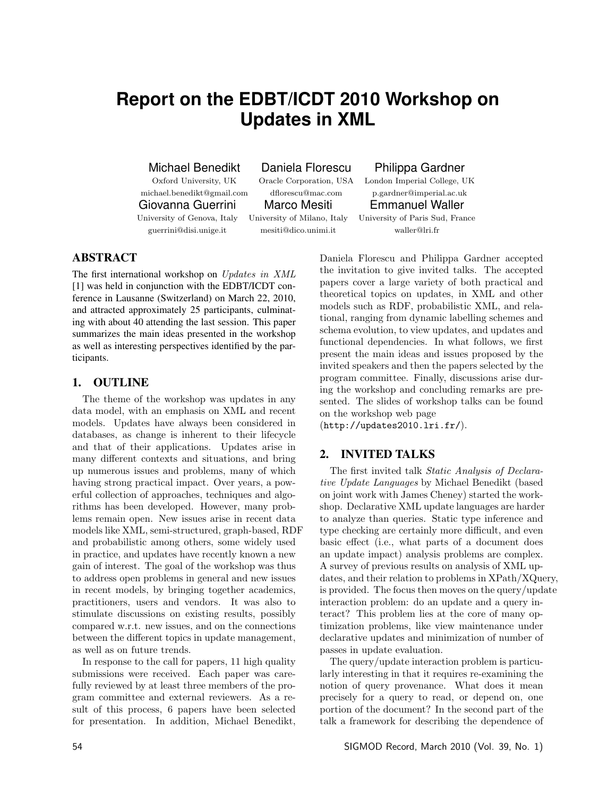# **Report on the EDBT/ICDT 2010 Workshop on Updates in XML**

Michael Benedikt Daniela Florescu Philippa Gardner

Giovanna Guerrini Marco Mesiti Emmanuel Waller

guerrini@disi.unige.it mesiti@dico.unimi.it waller@lri.fr

Oxford University, UK Oracle Corporation, USA London Imperial College, UK michael.benedikt@gmail.com dflorescu@mac.com p.gardner@imperial.ac.uk University of Genova, Italy University of Milano, Italy University of Paris Sud, France

# ABSTRACT

The first international workshop on Updates in XML [1] was held in conjunction with the EDBT/ICDT conference in Lausanne (Switzerland) on March 22, 2010, and attracted approximately 25 participants, culminating with about 40 attending the last session. This paper summarizes the main ideas presented in the workshop as well as interesting perspectives identified by the participants.

## 1. OUTLINE

The theme of the workshop was updates in any data model, with an emphasis on XML and recent models. Updates have always been considered in databases, as change is inherent to their lifecycle and that of their applications. Updates arise in many different contexts and situations, and bring up numerous issues and problems, many of which having strong practical impact. Over years, a powerful collection of approaches, techniques and algorithms has been developed. However, many problems remain open. New issues arise in recent data models like XML, semi-structured, graph-based, RDF and probabilistic among others, some widely used in practice, and updates have recently known a new gain of interest. The goal of the workshop was thus to address open problems in general and new issues in recent models, by bringing together academics, practitioners, users and vendors. It was also to stimulate discussions on existing results, possibly compared w.r.t. new issues, and on the connections between the different topics in update management, as well as on future trends.

In response to the call for papers, 11 high quality submissions were received. Each paper was carefully reviewed by at least three members of the program committee and external reviewers. As a result of this process, 6 papers have been selected for presentation. In addition, Michael Benedikt, Daniela Florescu and Philippa Gardner accepted the invitation to give invited talks. The accepted papers cover a large variety of both practical and theoretical topics on updates, in XML and other models such as RDF, probabilistic XML, and relational, ranging from dynamic labelling schemes and schema evolution, to view updates, and updates and functional dependencies. In what follows, we first present the main ideas and issues proposed by the invited speakers and then the papers selected by the program committee. Finally, discussions arise during the workshop and concluding remarks are presented. The slides of workshop talks can be found on the workshop web page

(http://updates2010.lri.fr/).

## 2. INVITED TALKS

The first invited talk Static Analysis of Declarative Update Languages by Michael Benedikt (based on joint work with James Cheney) started the workshop. Declarative XML update languages are harder to analyze than queries. Static type inference and type checking are certainly more difficult, and even basic effect (i.e., what parts of a document does an update impact) analysis problems are complex. A survey of previous results on analysis of XML updates, and their relation to problems in XPath/XQuery, is provided. The focus then moves on the query/update interaction problem: do an update and a query interact? This problem lies at the core of many optimization problems, like view maintenance under declarative updates and minimization of number of passes in update evaluation.

The query/update interaction problem is particularly interesting in that it requires re-examining the notion of query provenance. What does it mean precisely for a query to read, or depend on, one portion of the document? In the second part of the talk a framework for describing the dependence of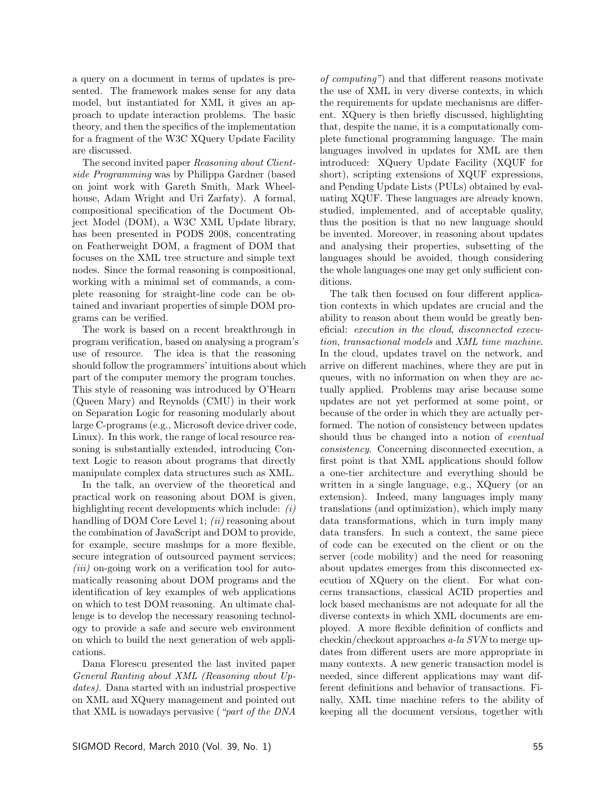a query on a document in terms of updates is presented. The framework makes sense for any data model, but instantiated for XML it gives an approach to update interaction problems. The basic theory, and then the specifics of the implementation for a fragment of the W3C XQuery Update Facility are discussed.

The second invited paper Reasoning about Clientside Programming was by Philippa Gardner (based on joint work with Gareth Smith, Mark Wheelhouse, Adam Wright and Uri Zarfaty). A formal, compositional specification of the Document Object Model (DOM), a W3C XML Update library, has been presented in PODS 2008, concentrating on Featherweight DOM, a fragment of DOM that focuses on the XML tree structure and simple text nodes. Since the formal reasoning is compositional, working with a minimal set of commands, a complete reasoning for straight-line code can be obtained and invariant properties of simple DOM programs can be verified.

The work is based on a recent breakthrough in program verification, based on analysing a program's use of resource. The idea is that the reasoning should follow the programmers' intuitions about which part of the computer memory the program touches. This style of reasoning was introduced by O'Hearn (Queen Mary) and Reynolds (CMU) in their work on Separation Logic for reasoning modularly about large C-programs (e.g., Microsoft device driver code, Linux). In this work, the range of local resource reasoning is substantially extended, introducing Context Logic to reason about programs that directly manipulate complex data structures such as XML.

In the talk, an overview of the theoretical and practical work on reasoning about DOM is given, highlighting recent developments which include: (i) handling of DOM Core Level 1;  $(ii)$  reasoning about the combination of JavaScript and DOM to provide, for example, secure mashups for a more flexible, secure integration of outsourced payment services;  $(iii)$  on-going work on a verification tool for automatically reasoning about DOM programs and the identification of key examples of web applications on which to test DOM reasoning. An ultimate challenge is to develop the necessary reasoning technology to provide a safe and secure web environment on which to build the next generation of web applications.

Dana Florescu presented the last invited paper General Ranting about XML (Reasoning about Updates). Dana started with an industrial prospective on XML and XQuery management and pointed out that XML is nowadays pervasive ("part of the DNA

of computing") and that different reasons motivate the use of XML in very diverse contexts, in which the requirements for update mechanisms are different. XQuery is then briefly discussed, highlighting that, despite the name, it is a computationally complete functional programming language. The main languages involved in updates for XML are then introduced: XQuery Update Facility (XQUF for short), scripting extensions of XQUF expressions, and Pending Update Lists (PULs) obtained by evaluating XQUF. These languages are already known, studied, implemented, and of acceptable quality, thus the position is that no new language should be invented. Moreover, in reasoning about updates and analysing their properties, subsetting of the languages should be avoided, though considering the whole languages one may get only sufficient conditions.

The talk then focused on four different application contexts in which updates are crucial and the ability to reason about them would be greatly beneficial: execution in the cloud, disconnected execution, transactional models and XML time machine. In the cloud, updates travel on the network, and arrive on different machines, where they are put in queues, with no information on when they are actually applied. Problems may arise because some updates are not yet performed at some point, or because of the order in which they are actually performed. The notion of consistency between updates should thus be changed into a notion of eventual consistency. Concerning disconnected execution, a first point is that XML applications should follow a one-tier architecture and everything should be written in a single language, e.g., XQuery (or an extension). Indeed, many languages imply many translations (and optimization), which imply many data transformations, which in turn imply many data transfers. In such a context, the same piece of code can be executed on the client or on the server (code mobility) and the need for reasoning about updates emerges from this disconnected execution of XQuery on the client. For what concerns transactions, classical ACID properties and lock based mechanisms are not adequate for all the diverse contexts in which XML documents are employed. A more flexible definition of conflicts and checkin/checkout approaches a-la SVN to merge updates from different users are more appropriate in many contexts. A new generic transaction model is needed, since different applications may want different definitions and behavior of transactions. Finally, XML time machine refers to the ability of keeping all the document versions, together with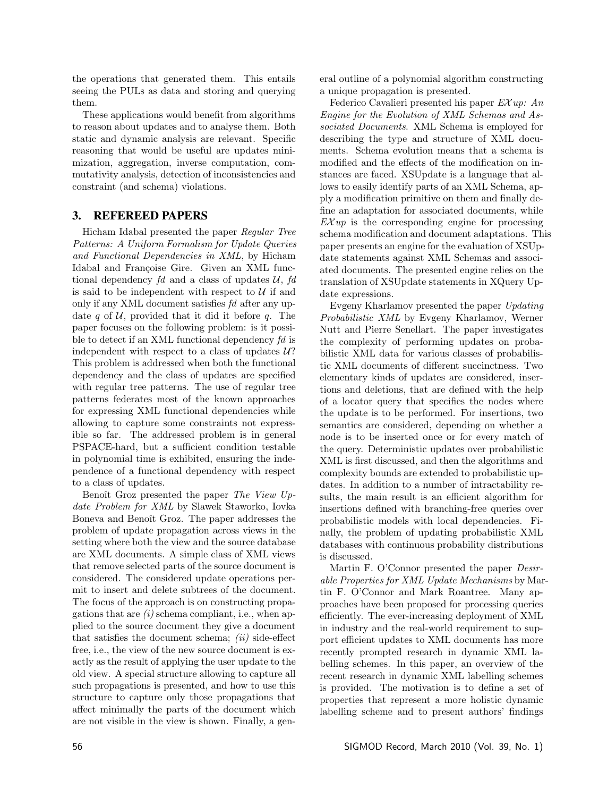the operations that generated them. This entails seeing the PULs as data and storing and querying them.

These applications would benefit from algorithms to reason about updates and to analyse them. Both static and dynamic analysis are relevant. Specific reasoning that would be useful are updates minimization, aggregation, inverse computation, commutativity analysis, detection of inconsistencies and constraint (and schema) violations.

## 3. REFEREED PAPERS

Hicham Idabal presented the paper Regular Tree Patterns: A Uniform Formalism for Update Queries and Functional Dependencies in XML, by Hicham Idabal and Françoise Gire. Given an XML functional dependency  $fd$  and a class of updates  $\mathcal{U}, fd$ is said to be independent with respect to  $U$  if and only if any XML document satisfies fd after any update q of  $U$ , provided that it did it before q. The paper focuses on the following problem: is it possible to detect if an XML functional dependency fd is independent with respect to a class of updates  $U$ ? This problem is addressed when both the functional dependency and the class of updates are specified with regular tree patterns. The use of regular tree patterns federates most of the known approaches for expressing XML functional dependencies while allowing to capture some constraints not expressible so far. The addressed problem is in general PSPACE-hard, but a sufficient condition testable in polynomial time is exhibited, ensuring the independence of a functional dependency with respect to a class of updates.

Benoît Groz presented the paper The View Update Problem for XML by Slawek Staworko, Iovka Boneva and Benoît Groz. The paper addresses the problem of update propagation across views in the setting where both the view and the source database are XML documents. A simple class of XML views that remove selected parts of the source document is considered. The considered update operations permit to insert and delete subtrees of the document. The focus of the approach is on constructing propagations that are  $(i)$  schema compliant, i.e., when applied to the source document they give a document that satisfies the document schema;  $(ii)$  side-effect free, i.e., the view of the new source document is exactly as the result of applying the user update to the old view. A special structure allowing to capture all such propagations is presented, and how to use this structure to capture only those propagations that affect minimally the parts of the document which are not visible in the view is shown. Finally, a general outline of a polynomial algorithm constructing a unique propagation is presented.

Federico Cavalieri presented his paper  $E X u p$ : An Engine for the Evolution of XML Schemas and Associated Documents. XML Schema is employed for describing the type and structure of XML documents. Schema evolution means that a schema is modified and the effects of the modification on instances are faced. XSUpdate is a language that allows to easily identify parts of an XML Schema, apply a modification primitive on them and finally define an adaptation for associated documents, while  $EXup$  is the corresponding engine for processing schema modification and document adaptations. This paper presents an engine for the evaluation of XSUpdate statements against XML Schemas and associated documents. The presented engine relies on the translation of XSUpdate statements in XQuery Update expressions.

Evgeny Kharlamov presented the paper Updating Probabilistic XML by Evgeny Kharlamov, Werner Nutt and Pierre Senellart. The paper investigates the complexity of performing updates on probabilistic XML data for various classes of probabilistic XML documents of different succinctness. Two elementary kinds of updates are considered, insertions and deletions, that are defined with the help of a locator query that specifies the nodes where the update is to be performed. For insertions, two semantics are considered, depending on whether a node is to be inserted once or for every match of the query. Deterministic updates over probabilistic XML is first discussed, and then the algorithms and complexity bounds are extended to probabilistic updates. In addition to a number of intractability results, the main result is an efficient algorithm for insertions defined with branching-free queries over probabilistic models with local dependencies. Finally, the problem of updating probabilistic XML databases with continuous probability distributions is discussed.

Martin F. O'Connor presented the paper *Desir*able Properties for XML Update Mechanisms by Martin F. O'Connor and Mark Roantree. Many approaches have been proposed for processing queries efficiently. The ever-increasing deployment of XML in industry and the real-world requirement to support efficient updates to XML documents has more recently prompted research in dynamic XML labelling schemes. In this paper, an overview of the recent research in dynamic XML labelling schemes is provided. The motivation is to define a set of properties that represent a more holistic dynamic labelling scheme and to present authors' findings